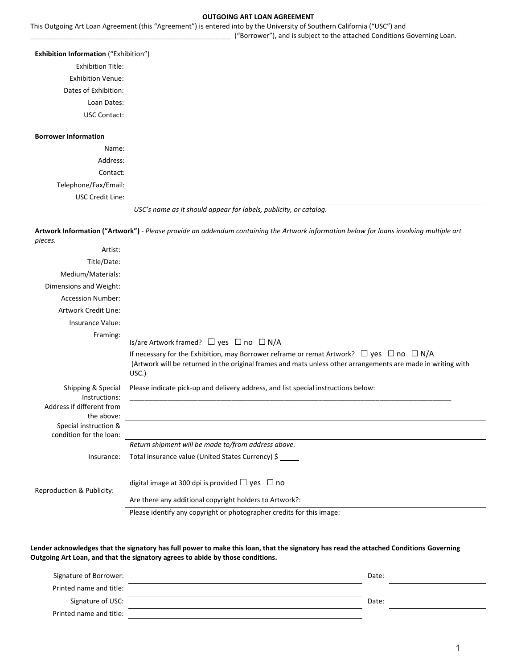#### **OUTGOING ART LOAN AGREEMENT**

This Outgoing Art Loan Agreement (this "Agreement") is entered into by the University of Southern California ("USC") and

\_\_\_\_\_\_\_\_\_\_\_\_\_\_\_\_\_\_\_\_\_\_\_\_\_\_\_\_\_\_\_\_\_\_\_\_\_\_\_\_\_\_\_\_\_\_\_\_\_\_\_\_\_ ("Borrower"), and is subject to the attached Conditions Governing Loan.

#### **Exhibition Information** ("Exhibition")

Exhibition Title: Exhibition Venue: Dates of Exhibition: Loan Dates:

USC Contact:

#### **Borrower Information**

Name: Address: Contact: Telephone/Fax/Email: USC Credit Line:



**Artwork Information ("Artwork")** - *Please provide an addendum containing the Artwork information below for loans involving multiple art* 

| pieces.                                                                        |                                                                                                                                                                                                                                  |
|--------------------------------------------------------------------------------|----------------------------------------------------------------------------------------------------------------------------------------------------------------------------------------------------------------------------------|
| Artist:                                                                        |                                                                                                                                                                                                                                  |
| Title/Date:                                                                    |                                                                                                                                                                                                                                  |
| Medium/Materials:                                                              |                                                                                                                                                                                                                                  |
| Dimensions and Weight:                                                         |                                                                                                                                                                                                                                  |
| <b>Accession Number:</b>                                                       |                                                                                                                                                                                                                                  |
| <b>Artwork Credit Line:</b>                                                    |                                                                                                                                                                                                                                  |
| Insurance Value:                                                               |                                                                                                                                                                                                                                  |
| Framing:                                                                       | Is/are Artwork framed? $\Box$ yes $\Box$ no $\Box$ N/A                                                                                                                                                                           |
|                                                                                | If necessary for the Exhibition, may Borrower reframe or remat Artwork? $\Box$ yes $\Box$ no $\Box$ N/A<br>(Artwork will be returned in the original frames and mats unless other arrangements are made in writing with<br>USC.) |
| Shipping & Special<br>Instructions:<br>Address if different from<br>the above: | Please indicate pick-up and delivery address, and list special instructions below:                                                                                                                                               |
| Special instruction &<br>condition for the loan:                               |                                                                                                                                                                                                                                  |
|                                                                                | Return shipment will be made to/from address above.                                                                                                                                                                              |
| Insurance:                                                                     | Total insurance value (United States Currency) \$                                                                                                                                                                                |
| Reproduction & Publicity:                                                      | digital image at 300 dpi is provided $\Box$ yes $\Box$ no                                                                                                                                                                        |
|                                                                                | Are there any additional copyright holders to Artwork?:                                                                                                                                                                          |
|                                                                                |                                                                                                                                                                                                                                  |

Please identify any copyright or photographer credits for this image:

**Lender acknowledges that the signatory has full power to make this loan, that the signatory has read the attached Conditions Governing Outgoing Art Loan, and that the signatory agrees to abide by those conditions.**

| Date: |  |
|-------|--|
|       |  |
| Date: |  |
|       |  |
|       |  |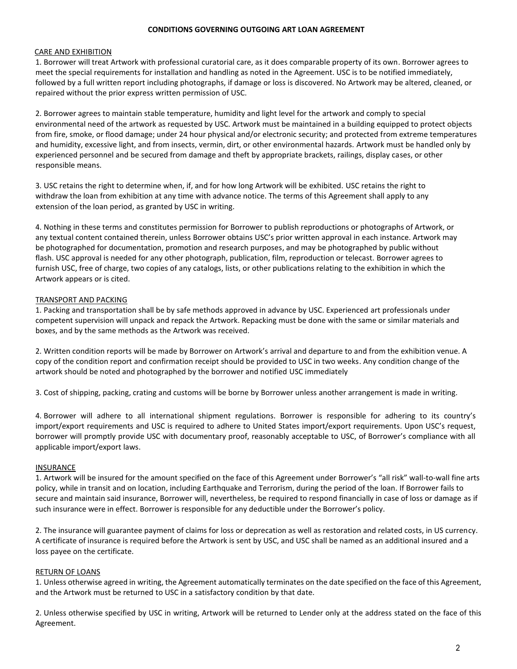#### **CONDITIONS GOVERNING OUTGOING ART LOAN AGREEMENT**

## CARE AND EXHIBITION

1. Borrower will treat Artwork with professional curatorial care, as it does comparable property of its own. Borrower agrees to meet the special requirements for installation and handling as noted in the Agreement. USC is to be notified immediately, followed by a full written report including photographs, if damage or loss is discovered. No Artwork may be altered, cleaned, or repaired without the prior express written permission of USC.

2. Borrower agrees to maintain stable temperature, humidity and light level for the artwork and comply to special environmental need of the artwork as requested by USC. Artwork must be maintained in a building equipped to protect objects from fire, smoke, or flood damage; under 24 hour physical and/or electronic security; and protected from extreme temperatures and humidity, excessive light, and from insects, vermin, dirt, or other environmental hazards. Artwork must be handled only by experienced personnel and be secured from damage and theft by appropriate brackets, railings, display cases, or other responsible means.

3. USC retains the right to determine when, if, and for how long Artwork will be exhibited. USC retains the right to withdraw the loan from exhibition at any time with advance notice. The terms of this Agreement shall apply to any extension of the loan period, as granted by USC in writing.

4. Nothing in these terms and constitutes permission for Borrower to publish reproductions or photographs of Artwork, or any textual content contained therein, unless Borrower obtains USC's prior written approval in each instance. Artwork may be photographed for documentation, promotion and research purposes, and may be photographed by public without flash. USC approval is needed for any other photograph, publication, film, reproduction or telecast. Borrower agrees to furnish USC, free of charge, two copies of any catalogs, lists, or other publications relating to the exhibition in which the Artwork appears or is cited.

# TRANSPORT AND PACKING

1. Packing and transportation shall be by safe methods approved in advance by USC. Experienced art professionals under competent supervision will unpack and repack the Artwork. Repacking must be done with the same or similar materials and boxes, and by the same methods as the Artwork was received.

2. Written condition reports will be made by Borrower on Artwork's arrival and departure to and from the exhibition venue. A copy of the condition report and confirmation receipt should be provided to USC in two weeks. Any condition change of the artwork should be noted and photographed by the borrower and notified USC immediately

3. Cost of shipping, packing, crating and customs will be borne by Borrower unless another arrangement is made in writing.

4. Borrower will adhere to all international shipment regulations. Borrower is responsible for adhering to its country's import/export requirements and USC is required to adhere to United States import/export requirements. Upon USC's request, borrower will promptly provide USC with documentary proof, reasonably acceptable to USC, of Borrower's compliance with all applicable import/export laws.

## **INSURANCE**

1. Artwork will be insured for the amount specified on the face of this Agreement under Borrower's "all risk" wall-to-wall fine arts policy, while in transit and on location, including Earthquake and Terrorism, during the period of the loan. If Borrower fails to secure and maintain said insurance, Borrower will, nevertheless, be required to respond financially in case of loss or damage as if such insurance were in effect. Borrower is responsible for any deductible under the Borrower's policy.

2. The insurance will guarantee payment of claims for loss or deprecation as well as restoration and related costs, in US currency. A certificate of insurance is required before the Artwork is sent by USC, and USC shall be named as an additional insured and a loss payee on the certificate.

## RETURN OF LOANS

1. Unless otherwise agreed in writing, the Agreement automatically terminates on the date specified on the face of this Agreement, and the Artwork must be returned to USC in a satisfactory condition by that date.

2. Unless otherwise specified by USC in writing, Artwork will be returned to Lender only at the address stated on the face of this Agreement.